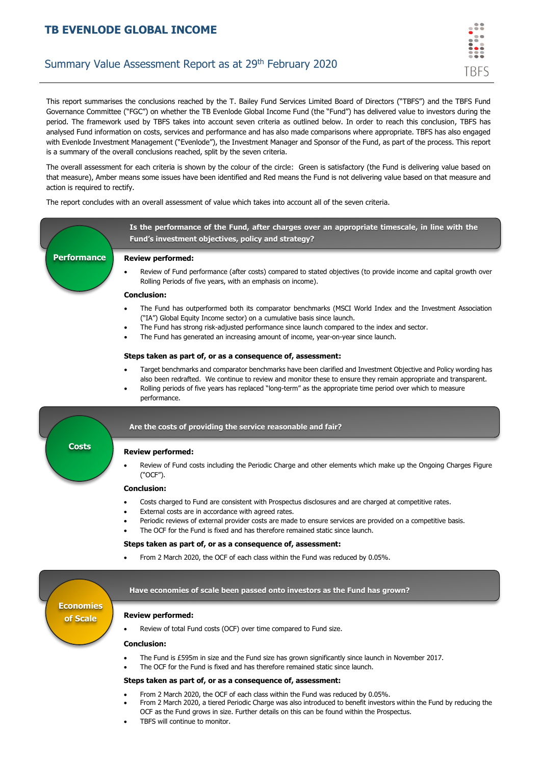# **TB EVENLODE GLOBAL INCOME**

# Summary Value Assessment Report as at 29<sup>th</sup> February 2020

trfs

This report summarises the conclusions reached by the T. Bailey Fund Services Limited Board of Directors ("TBFS") and the TBFS Fund Governance Committee ("FGC") on whether the TB Evenlode Global Income Fund (the "Fund") has delivered value to investors during the period. The framework used by TBFS takes into account seven criteria as outlined below. In order to reach this conclusion, TBFS has analysed Fund information on costs, services and performance and has also made comparisons where appropriate. TBFS has also engaged with Evenlode Investment Management ("Evenlode"), the Investment Manager and Sponsor of the Fund, as part of the process. This report is a summary of the overall conclusions reached, split by the seven criteria.

The overall assessment for each criteria is shown by the colour of the circle: Green is satisfactory (the Fund is delivering value based on that measure), Amber means some issues have been identified and Red means the Fund is not delivering value based on that measure and action is required to rectify.

The report concludes with an overall assessment of value which takes into account all of the seven criteria.

**Is the performance of the Fund, after charges over an appropriate timescale, in line with the Fund's investment objectives, policy and strategy?**

# **Performance**

**Review performed:**

• Review of Fund performance (after costs) compared to stated objectives (to provide income and capital growth over Rolling Periods of five years, with an emphasis on income).

### **Conclusion:**

- The Fund has outperformed both its comparator benchmarks (MSCI World Index and the Investment Association ("IA") Global Equity Income sector) on a cumulative basis since launch.
- The Fund has strong risk-adjusted performance since launch compared to the index and sector.
- The Fund has generated an increasing amount of income, year-on-year since launch.

#### **Steps taken as part of, or as a consequence of, assessment:**

- Target benchmarks and comparator benchmarks have been clarified and Investment Objective and Policy wording has also been redrafted. We continue to review and monitor these to ensure they remain appropriate and transparent.
- Rolling periods of five years has replaced "long-term" as the appropriate time period over which to measure performance.



### **Are the costs of providing the service reasonable and fair?**

#### **Review performed:**

• Review of Fund costs including the Periodic Charge and other elements which make up the Ongoing Charges Figure ("OCF").

#### **Conclusion:**

- Costs charged to Fund are consistent with Prospectus disclosures and are charged at competitive rates.
- External costs are in accordance with agreed rates.
- Periodic reviews of external provider costs are made to ensure services are provided on a competitive basis.
- The OCF for the Fund is fixed and has therefore remained static since launch.

#### **Steps taken as part of, or as a consequence of, assessment:**

• From 2 March 2020, the OCF of each class within the Fund was reduced by 0.05%.

## **Economies of Scale**

# **Have economies of scale been passed onto investors as the Fund has grown?**

### **Review performed:**

Review of total Fund costs (OCF) over time compared to Fund size.

#### **Conclusion:**

- The Fund is £595m in size and the Fund size has grown significantly since launch in November 2017.
	- The OCF for the Fund is fixed and has therefore remained static since launch.

#### **Steps taken as part of, or as a consequence of, assessment:**

- From 2 March 2020, the OCF of each class within the Fund was reduced by 0.05%.
- From 2 March 2020, a tiered Periodic Charge was also introduced to benefit investors within the Fund by reducing the OCF as the Fund grows in size. Further details on this can be found within the Prospectus.
- TBFS will continue to monitor.